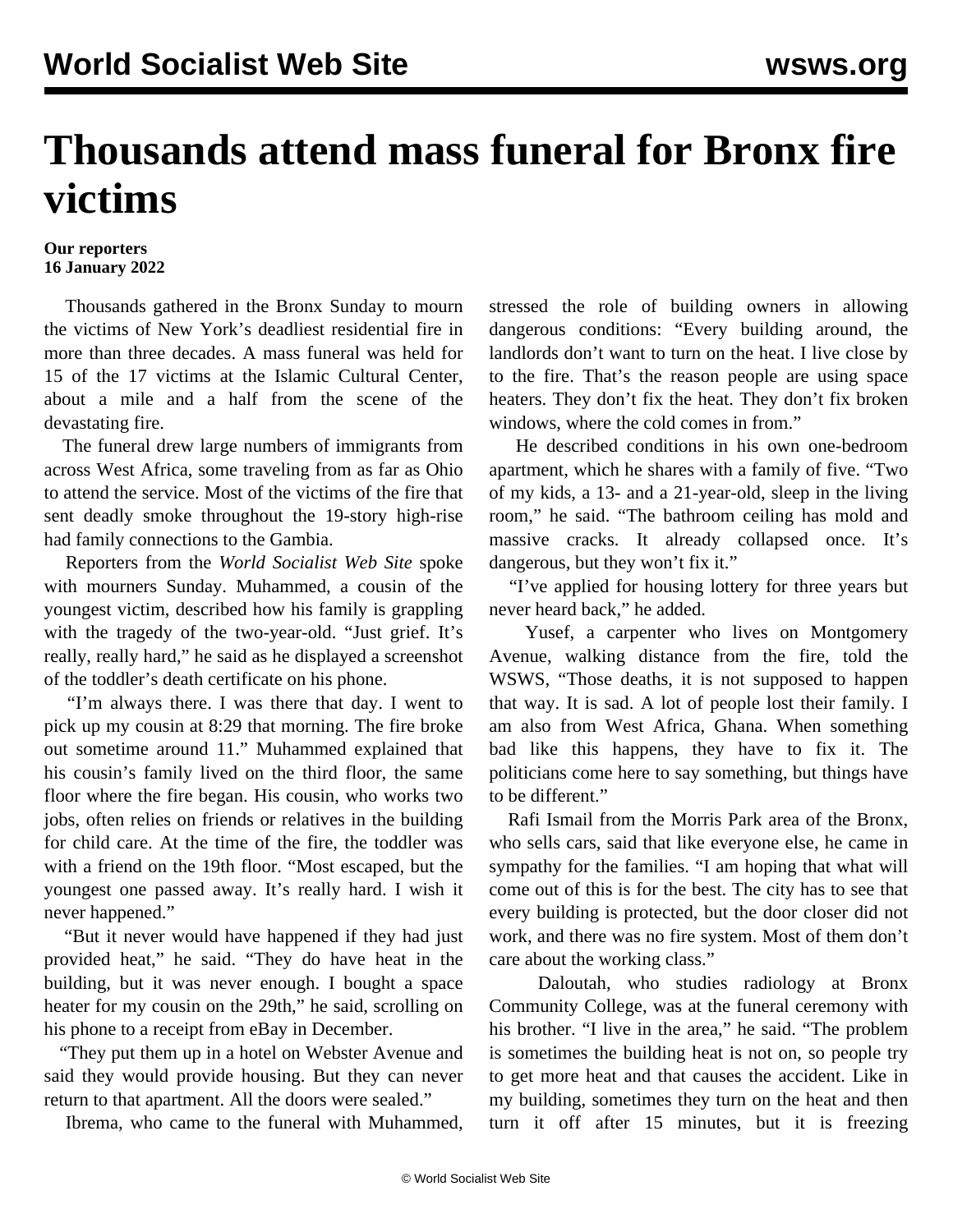## **Thousands attend mass funeral for Bronx fire victims**

## **Our reporters 16 January 2022**

 Thousands gathered in the Bronx Sunday to mourn the victims of New York's deadliest residential fire in more than three decades. A mass funeral was held for 15 of the 17 victims at the Islamic Cultural Center, about a mile and a half from the scene of the devastating fire.

 The funeral drew large numbers of immigrants from across West Africa, some traveling from as far as Ohio to attend the service. Most of the victims of the fire that sent deadly smoke throughout the 19-story high-rise had family connections to the Gambia.

 Reporters from the *World Socialist Web Site* spoke with mourners Sunday. Muhammed, a cousin of the youngest victim, described how his family is grappling with the tragedy of the two-year-old. "Just grief. It's really, really hard," he said as he displayed a screenshot of the toddler's death certificate on his phone.

 "I'm always there. I was there that day. I went to pick up my cousin at 8:29 that morning. The fire broke out sometime around 11." Muhammed explained that his cousin's family lived on the third floor, the same floor where the fire began. His cousin, who works two jobs, often relies on friends or relatives in the building for child care. At the time of the fire, the toddler was with a friend on the 19th floor. "Most escaped, but the youngest one passed away. It's really hard. I wish it never happened."

 "But it never would have happened if they had just provided heat," he said. "They do have heat in the building, but it was never enough. I bought a space heater for my cousin on the 29th," he said, scrolling on his phone to a receipt from eBay in December.

 "They put them up in a hotel on Webster Avenue and said they would provide housing. But they can never return to that apartment. All the doors were sealed."

Ibrema, who came to the funeral with Muhammed,

stressed the role of building owners in allowing dangerous conditions: "Every building around, the landlords don't want to turn on the heat. I live close by to the fire. That's the reason people are using space heaters. They don't fix the heat. They don't fix broken windows, where the cold comes in from."

 He described conditions in his own one-bedroom apartment, which he shares with a family of five. "Two of my kids, a 13- and a 21-year-old, sleep in the living room," he said. "The bathroom ceiling has mold and massive cracks. It already collapsed once. It's dangerous, but they won't fix it."

 "I've applied for housing lottery for three years but never heard back," he added.

 Yusef, a carpenter who lives on Montgomery Avenue, walking distance from the fire, told the WSWS, "Those deaths, it is not supposed to happen that way. It is sad. A lot of people lost their family. I am also from West Africa, Ghana. When something bad like this happens, they have to fix it. The politicians come here to say something, but things have to be different."

 Rafi Ismail from the Morris Park area of the Bronx, who sells cars, said that like everyone else, he came in sympathy for the families. "I am hoping that what will come out of this is for the best. The city has to see that every building is protected, but the door closer did not work, and there was no fire system. Most of them don't care about the working class."

 Daloutah, who studies radiology at Bronx Community College, was at the funeral ceremony with his brother. "I live in the area," he said. "The problem is sometimes the building heat is not on, so people try to get more heat and that causes the accident. Like in my building, sometimes they turn on the heat and then turn it off after 15 minutes, but it is freezing